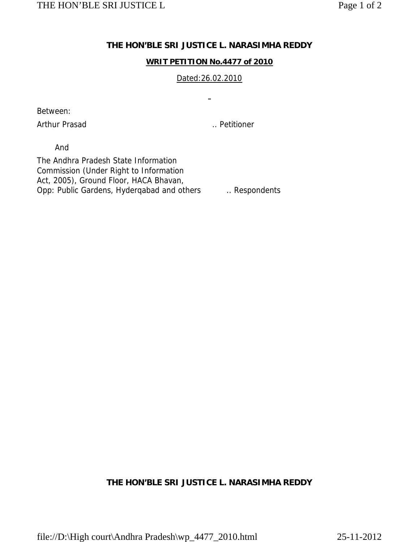## **THE HON'BLE SRI JUSTICE L. NARASIMHA REDDY**

### **WRIT PETITION No.4477 of 2010**

### Dated:26.02.2010

 $\blacksquare$ 

Between:

Arthur Prasad ... Petitioner

And

The Andhra Pradesh State Information Commission (Under Right to Information Act, 2005), Ground Floor, HACA Bhavan, Opp: Public Gardens, Hyderqabad and others ... Respondents

# **THE HON'BLE SRI JUSTICE L. NARASIMHA REDDY**

file://D:\High court\Andhra Pradesh\wp\_4477\_2010.html 25-11-2012